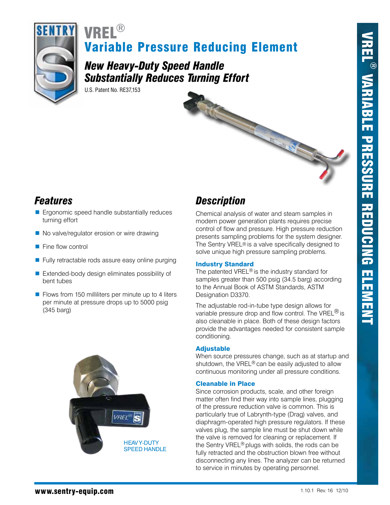

# Variable Pressure Reducing Element vrel ®

*New Heavy-Duty Speed Handle Substantially Reduces Turning Effort*

U.S. Patent No. RE37,153

- **Example 3** Ergonomic speed handle substantially reduces turning effort
- $\blacksquare$  No valve/regulator erosion or wire drawing
- $\blacksquare$  Fine flow control
- $\blacksquare$  Fully retractable rods assure easy online purging
- **Extended-body design eliminates possibility of** bent tubes
- $\blacksquare$  Flows from 150 milliliters per minute up to 4 liters per minute at pressure drops up to 5000 psig (345 barg)



# *Features Description*

Chemical analysis of water and steam samples in modern power generation plants requires precise control of flow and pressure. High pressure reduction presents sampling problems for the system designer. The Sentry VREL® is a valve specifically designed to solve unique high pressure sampling problems.

### Industry Standard

The patented VREL<sup>®</sup> is the industry standard for samples greater than 500 psig (34.5 barg) according to the Annual Book of ASTM Standards, ASTM Designation D3370.

The adjustable rod-in-tube type design allows for variable pressure drop and flow control. The VREL $^{\circledR}$  is also cleanable in place. Both of these design factors provide the advantages needed for consistent sample conditioning.

### Adjustable

When source pressures change, such as at startup and shutdown, the VREL® can be easily adjusted to allow continuous monitoring under all pressure conditions.

### Cleanable in Place

Since corrosion products, scale, and other foreign matter often find their way into sample lines, plugging of the pressure reduction valve is common. This is particularly true of Labrynth-type (Drag) valves, and diaphragm-operated high pressure regulators. If these valves plug, the sample line must be shut down while the valve is removed for cleaning or replacement. If the Sentry VREL® plugs with solids, the rods can be fully retracted and the obstruction blown free without disconnecting any lines. The analyzer can be returned to service in minutes by operating personnel.